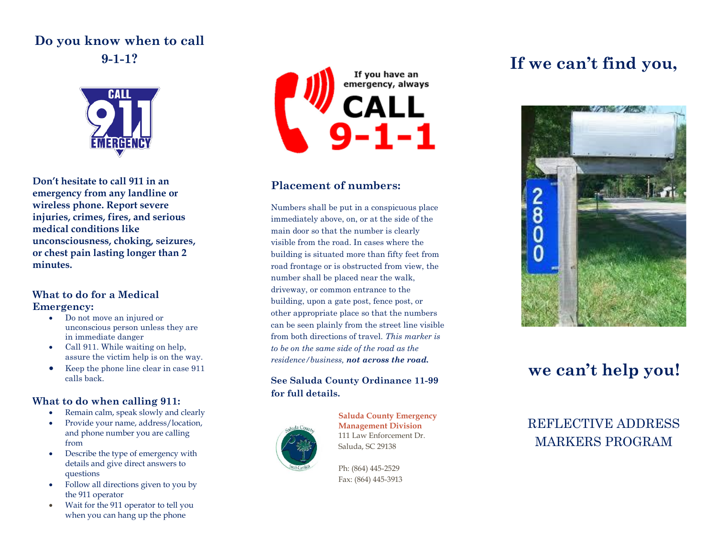### **Do you know when to call 9-1-1?**



**Don't hesitate to call 911 in an emergency from any landline or wireless phone. Report severe injuries, crimes, fires, and serious medical conditions like unconsciousness, choking, seizures, or chest pain lasting longer than 2 minutes.**

#### **What to do for a Medical Emergency:**

- Do not move an injured or unconscious person unless they are in immediate danger
- Call 911. While waiting on help, assure the victim help is on the way.
- Keep the phone line clear in case 911 calls back.

### **What to do when calling 911:**

- Remain calm, speak slowly and clearly
- Provide your name, address/location, and phone number you are calling from
- Describe the type of emergency with details and give direct answers to questions
- Follow all directions given to you by the 911 operator
- Wait for the 911 operator to tell you when you can hang up the phone



### **Placement of numbers:**

Numbers shall be put in a conspicuous place immediately above, on, or at the side of the main door so that the number is clearly visible from the road. In cases where the building is situated more than fifty feet from road frontage or is obstructed from view, the number shall be placed near the walk, driveway, or common entrance to the building, upon a gate post, fence post, or other appropriate place so that the numbers can be seen plainly from the street line visible from both directions of travel. *This marker is to be on the same side of the road as the residence/business, not across the road.*

#### **See Saluda County Ordinance 11-99 for full details.**



**Saluda County Emergency Management Division** 111 Law Enforcement Dr. Saluda, SC 29138

Ph: (864) 445-2529 Fax: (864) 445-3913

# **If we can't find you,**



## **we can't help you!**

## REFLECTIVE ADDRESS MARKERS PROGRAM